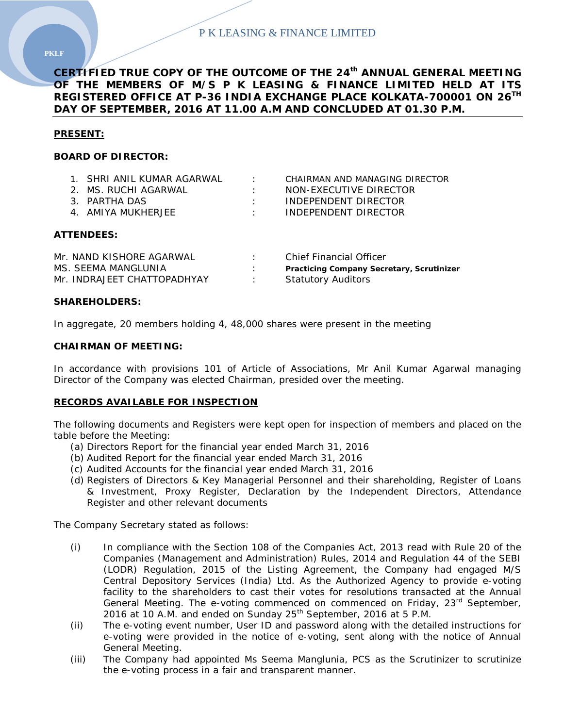**CERTIFIED TRUE COPY OF THE OUTCOME OF THE 24th ANNUAL GENERAL MEETING OF THE MEMBERS OF M/S P K LEASING & FINANCE LIMITED HELD AT ITS REGISTERED OFFICE AT P-36 INDIA EXCHANGE PLACE KOLKATA-700001 ON 26TH DAY OF SEPTEMBER, 2016 AT 11.00 A.M AND CONCLUDED AT 01.30 P.M.**

## **PRESENT:**

## **BOARD OF DIRECTOR:**

| 1. SHRI ANII KUMAR AGARWAI | <b>Contract Contract</b> | CHAIRMAN AND MANAGING DIRECTOR |
|----------------------------|--------------------------|--------------------------------|
| 2. MS. RUCHI AGARWAI       |                          | NON-EXECUTIVE DIRECTOR         |
| 3 PARTHA DAS               | <b>Contract Contract</b> | INDEPENDENT DIRECTOR           |
| 4. AMIYA MUKHERJEE         |                          | INDEPENDENT DIRECTOR           |
|                            |                          |                                |

### **ATTENDEES:**

| Mr. NAND KISHORE AGARWAL    | Chief Financial Officer                          |
|-----------------------------|--------------------------------------------------|
| MS. SEEMA MANGLUNIA         | <b>Practicing Company Secretary, Scrutinizer</b> |
| Mr. INDRAJEET CHATTOPADHYAY | <b>Statutory Auditors</b>                        |

### **SHAREHOLDERS:**

In aggregate, 20 members holding 4, 48,000 shares were present in the meeting

### **CHAIRMAN OF MEETING:**

In accordance with provisions 101 of Article of Associations, Mr Anil Kumar Agarwal managing Director of the Company was elected Chairman, presided over the meeting.

## **RECORDS AVAILABLE FOR INSPECTION**

The following documents and Registers were kept open for inspection of members and placed on the table before the Meeting:

- (a) Directors Report for the financial year ended March 31, 2016
- (b) Audited Report for the financial year ended March 31, 2016
- (c) Audited Accounts for the financial year ended March 31, 2016
- (d) Registers of Directors & Key Managerial Personnel and their shareholding, Register of Loans & Investment, Proxy Register, Declaration by the Independent Directors, Attendance Register and other relevant documents

The Company Secretary stated as follows:

- (i) In compliance with the Section 108 of the Companies Act, 2013 read with Rule 20 of the Companies (Management and Administration) Rules, 2014 and Regulation 44 of the SEBI (LODR) Regulation, 2015 of the Listing Agreement, the Company had engaged M/S Central Depository Services (India) Ltd. As the Authorized Agency to provide e-voting facility to the shareholders to cast their votes for resolutions transacted at the Annual General Meeting. The e-voting commenced on commenced on Friday, 23<sup>rd</sup> September, 2016 at 10 A.M. and ended on Sunday  $25<sup>th</sup>$  September, 2016 at 5 P.M.
- (ii) The e-voting event number, User ID and password along with the detailed instructions for e-voting were provided in the notice of e-voting, sent along with the notice of Annual General Meeting.
- (iii) The Company had appointed Ms Seema Manglunia, PCS as the Scrutinizer to scrutinize the e-voting process in a fair and transparent manner.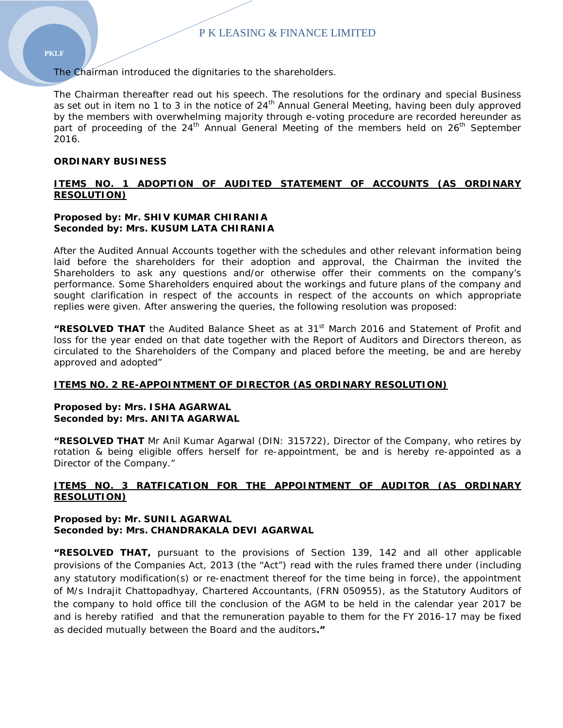The Chairman introduced the dignitaries to the shareholders.

The Chairman thereafter read out his speech. The resolutions for the ordinary and special Business as set out in item no 1 to 3 in the notice of  $24<sup>th</sup>$  Annual General Meeting, having been duly approved by the members with overwhelming majority through e-voting procedure are recorded hereunder as part of proceeding of the  $24<sup>th</sup>$  Annual General Meeting of the members held on  $26<sup>th</sup>$  September 2016.

## **ORDINARY BUSINESS**

# **ITEMS NO. 1 ADOPTION OF AUDITED STATEMENT OF ACCOUNTS (AS ORDINARY RESOLUTION)**

### **Proposed by: Mr. SHIV KUMAR CHIRANIA Seconded by: Mrs. KUSUM LATA CHIRANIA**

After the Audited Annual Accounts together with the schedules and other relevant information being laid before the shareholders for their adoption and approval, the Chairman the invited the Shareholders to ask any questions and/or otherwise offer their comments on the company's performance. Some Shareholders enquired about the workings and future plans of the company and sought clarification in respect of the accounts in respect of the accounts on which appropriate replies were given. After answering the queries, the following resolution was proposed:

**"RESOLVED THAT** the Audited Balance Sheet as at 31st March 2016 and Statement of Profit and loss for the year ended on that date together with the Report of Auditors and Directors thereon, as circulated to the Shareholders of the Company and placed before the meeting, be and are hereby approved and adopted"

## **ITEMS NO. 2 RE-APPOINTMENT OF DIRECTOR (AS ORDINARY RESOLUTION)**

### **Proposed by: Mrs. ISHA AGARWAL Seconded by: Mrs. ANITA AGARWAL**

**"RESOLVED THAT** Mr Anil Kumar Agarwal (DIN: 315722), Director of the Company, who retires by rotation & being eligible offers herself for re-appointment, be and is hereby re-appointed as a Director of the Company."

## **ITEMS NO. 3 RATFICATION FOR THE APPOINTMENT OF AUDITOR (AS ORDINARY RESOLUTION)**

### **Proposed by: Mr. SUNIL AGARWAL Seconded by: Mrs. CHANDRAKALA DEVI AGARWAL**

**"RESOLVED THAT,** pursuant to the provisions of Section 139, 142 and all other applicable provisions of the Companies Act, 2013 (the "Act") read with the rules framed there under (including any statutory modification(s) or re-enactment thereof for the time being in force), the appointment of M/s Indrajit Chattopadhyay, Chartered Accountants, (FRN 050955), as the Statutory Auditors of the company to hold office till the conclusion of the AGM to be held in the calendar year 2017 be and is hereby ratified and that the remuneration payable to them for the FY 2016-17 may be fixed as decided mutually between the Board and the auditors**."**